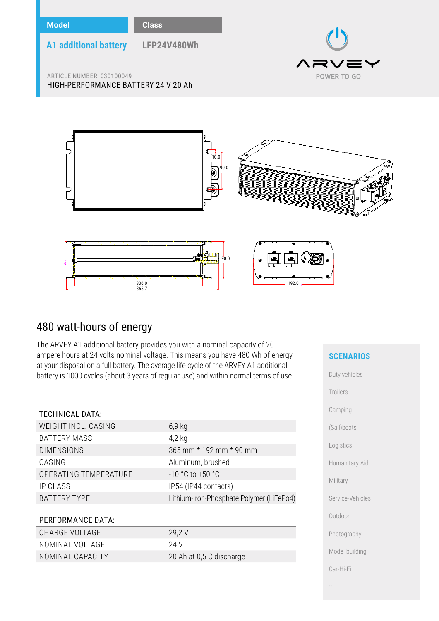

# 480 watt-hours of energy

The ARVEY A1 additional battery provides you with a nominal capacity of 20 ampere hours at 24 volts nominal voltage. This means you have 480 Wh of energy at your disposal on a full battery. The average life cycle of the ARVEY A1 additional battery is 1000 cycles (about 3 years of regular use) and within normal terms of use.

# TECHNICAL DATA:

| WEIGHT INCL. CASING   | $6,9$ kg                                 |
|-----------------------|------------------------------------------|
| <b>BATTERY MASS</b>   | $4,2$ kg                                 |
| <b>DIMENSIONS</b>     | 365 mm * 192 mm * 90 mm                  |
| CASING                | Aluminum, brushed                        |
| OPERATING TEMPERATURE | $-10 °C$ to $+50 °C$                     |
| IP CLASS              | IP54 (IP44 contacts)                     |
| <b>BATTERY TYPE</b>   | Lithium-Iron-Phosphate Polymer (LiFePo4) |
|                       |                                          |

# PERFORMANCE DATA:

| CHARGE VOLTAGE   | 29,2 V                   |
|------------------|--------------------------|
| NOMINAL VOLTAGE  | 24 V                     |
| NOMINAL CAPACITY | 20 Ah at 0,5 C discharge |

# **SCENARIOS**

| Duty vehicles    |
|------------------|
| Trailers         |
| Camping          |
| (Sail)boats      |
| Logistics        |
| Humanitary Aid   |
| Military         |
| Service-Vehicles |
| Outdoor          |
| Photography      |
| Model building   |
| Car-Hi-Fi        |
|                  |